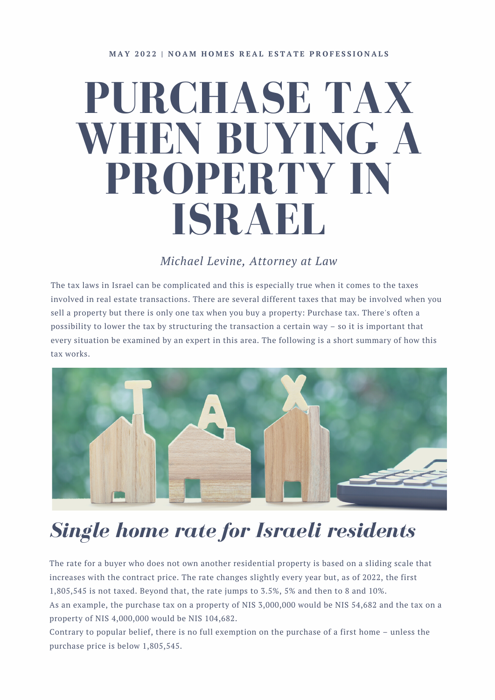# **PURCHASE TAX WHEN BUYING A PROPERTY IN ISRAEL**

### *Michael Levine, [Attorney](https://www.levinelaw.co.il/) at Law*

The tax laws in Israel can be complicated and this is especially true when it comes to the taxes involved in real estate transactions. There are several different taxes that may be involved when you sell a property but there is only one tax when you buy a property: Purchase tax. There's often a possibility to lower the tax by structuring the transaction a certain way – so it is important that every situation be examined by an expert in this area. The following is a short summary of how this tax works.



## *Single home rate for Israeli residents*

The rate for a buyer who does not own another residential property is based on a sliding scale that increases with the contract price. The rate changes slightly every year but, as of 2022, the first 1,805,545 is not taxed. Beyond that, the rate jumps to 3.5%, 5% and then to 8 and 10%. As an example, the purchase tax on a property of NIS 3,000,000 would be NIS 54,682 and the tax on a property of NIS 4,000,000 would be NIS 104,682.

Contrary to popular belief, there is no full exemption on the purchase of a first home – unless the purchase price is below 1,805,545.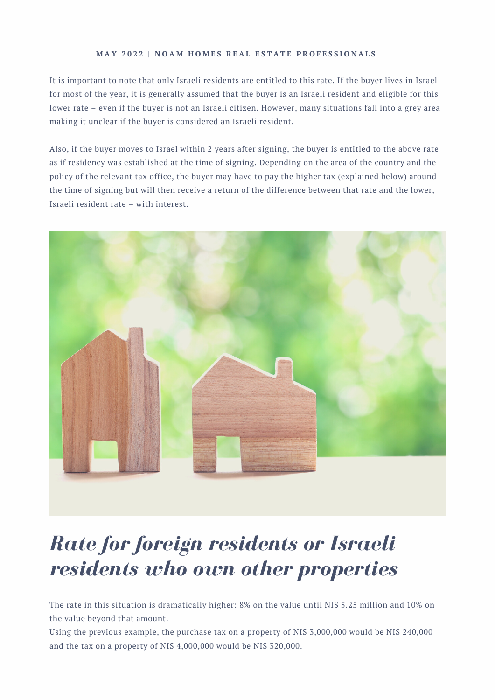#### [M](https://www.facebook.com/groups/noamhomes/)AY 2022 | NOAM HOMES REAL ESTATE PROFESSIONALS

It is important to note that only Israeli residents are entitled to this rate. If the buyer lives in Israel for most of the year, it is generally assumed that the buyer is an Israeli resident and eligible for this lower rate – even if the buyer is not an Israeli citizen. However, many situations fall into a grey area making it unclear if the buyer is considered an Israeli resident.

Also, if the buyer moves to Israel within 2 years after signing, the buyer is entitled to the above rate as if residency was established at the time of signing. Depending on the area of the country and the policy of the relevant tax office, the buyer may have to pay the higher tax (explained below) around the time of signing but will then receive a return of the difference between that rate and the lower, Israeli resident rate – with interest.



### *Rate for foreign residents or Israeli residents who own other properties*

The rate in this situation is dramatically higher: 8% on the value until NIS 5.25 million and 10% on the value beyond that amount.

Using the previous example, the purchase tax on a property of NIS 3,000,000 would be NIS 240,000 and the tax on a property of NIS 4,000,000 would be NIS 320,000.